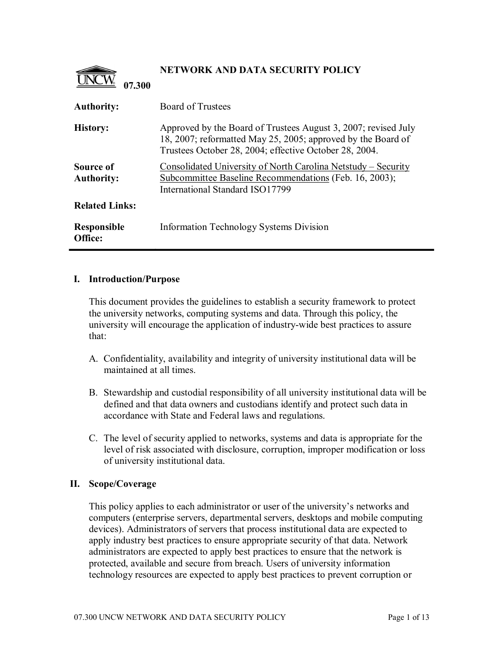

# **NETWORK AND DATA SECURITY POLICY**

| <b>Authority:</b>              | <b>Board of Trustees</b>                                                                                                                                                                 |
|--------------------------------|------------------------------------------------------------------------------------------------------------------------------------------------------------------------------------------|
| <b>History:</b>                | Approved by the Board of Trustees August 3, 2007; revised July<br>18, 2007; reformatted May 25, 2005; approved by the Board of<br>Trustees October 28, 2004; effective October 28, 2004. |
| Source of<br><b>Authority:</b> | Consolidated University of North Carolina Netstudy – Security<br>Subcommittee Baseline Recommendations (Feb. 16, 2003);<br>International Standard ISO17799                               |
| <b>Related Links:</b>          |                                                                                                                                                                                          |
| Responsible<br>Office:         | Information Technology Systems Division                                                                                                                                                  |

### **I. Introduction/Purpose**

This document provides the guidelines to establish a security framework to protect the university networks, computing systems and data. Through this policy, the university will encourage the application of industry-wide best practices to assure that:

- A. Confidentiality, availability and integrity of university institutional data will be maintained at all times.
- B. Stewardship and custodial responsibility of all university institutional data will be defined and that data owners and custodians identify and protect such data in accordance with State and Federal laws and regulations.
- C. The level of security applied to networks, systems and data is appropriate for the level of risk associated with disclosure, corruption, improper modification or loss of university institutional data.

### **II. Scope/Coverage**

This policy applies to each administrator or user of the university's networks and computers (enterprise servers, departmental servers, desktops and mobile computing devices). Administrators of servers that process institutional data are expected to apply industry best practices to ensure appropriate security of that data. Network administrators are expected to apply best practices to ensure that the network is protected, available and secure from breach. Users of university information technology resources are expected to apply best practices to prevent corruption or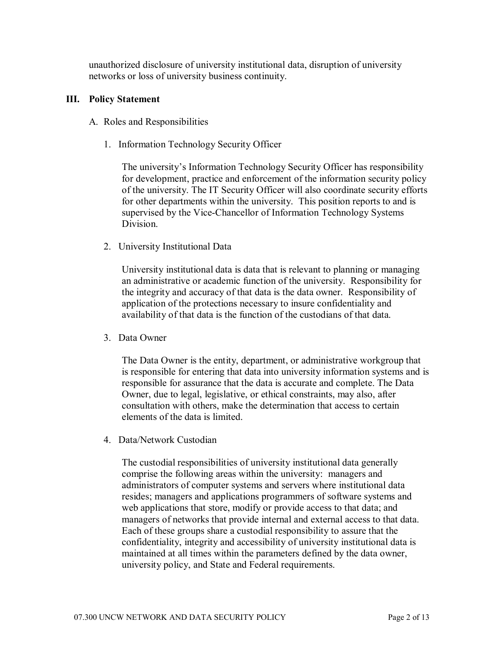unauthorized disclosure of university institutional data, disruption of university networks or loss of university business continuity.

## **III. Policy Statement**

- A. Roles and Responsibilities
	- 1. Information Technology Security Officer

The university's Information Technology Security Officer has responsibility for development, practice and enforcement of the information security policy of the university. The IT Security Officer will also coordinate security efforts for other departments within the university. This position reports to and is supervised by the Vice-Chancellor of Information Technology Systems **Division** 

2. University Institutional Data

University institutional data is data that is relevant to planning or managing an administrative or academic function of the university. Responsibility for the integrity and accuracy of that data is the data owner. Responsibility of application of the protections necessary to insure confidentiality and availability of that data is the function of the custodians of that data.

3. Data Owner

The Data Owner is the entity, department, or administrative workgroup that is responsible for entering that data into university information systems and is responsible for assurance that the data is accurate and complete. The Data Owner, due to legal, legislative, or ethical constraints, may also, after consultation with others, make the determination that access to certain elements of the data is limited.

4. Data/Network Custodian

The custodial responsibilities of university institutional data generally comprise the following areas within the university: managers and administrators of computer systems and servers where institutional data resides; managers and applications programmers of software systems and web applications that store, modify or provide access to that data; and managers of networks that provide internal and external access to that data. Each of these groups share a custodial responsibility to assure that the confidentiality, integrity and accessibility of university institutional data is maintained at all times within the parameters defined by the data owner, university policy, and State and Federal requirements.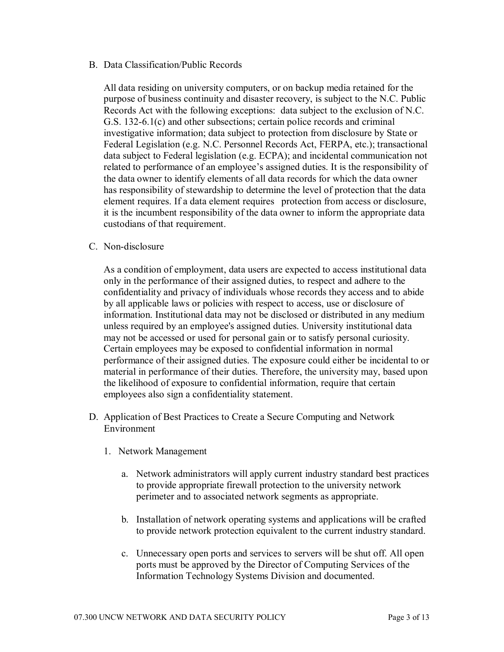B. Data Classification/Public Records

All data residing on university computers, or on backup media retained for the purpose of business continuity and disaster recovery, is subject to the N.C. Public Records Act with the following exceptions: data subject to the exclusion of N.C. G.S. 132-6.1(c) and other subsections; certain police records and criminal investigative information; data subject to protection from disclosure by State or Federal Legislation (e.g. N.C. Personnel Records Act, FERPA, etc.); transactional data subject to Federal legislation (e.g. ECPA); and incidental communication not related to performance of an employee's assigned duties. It is the responsibility of the data owner to identify elements of all data records for which the data owner has responsibility of stewardship to determine the level of protection that the data element requires. If a data element requires protection from access or disclosure, it is the incumbent responsibility of the data owner to inform the appropriate data custodians of that requirement.

C. Non-disclosure

As a condition of employment, data users are expected to access institutional data only in the performance of their assigned duties, to respect and adhere to the confidentiality and privacy of individuals whose records they access and to abide by all applicable laws or policies with respect to access, use or disclosure of information. Institutional data may not be disclosed or distributed in any medium unless required by an employee's assigned duties. University institutional data may not be accessed or used for personal gain or to satisfy personal curiosity. Certain employees may be exposed to confidential information in normal performance of their assigned duties. The exposure could either be incidental to or material in performance of their duties. Therefore, the university may, based upon the likelihood of exposure to confidential information, require that certain employees also sign a confidentiality statement.

- D. Application of Best Practices to Create a Secure Computing and Network Environment
	- 1. Network Management
		- a. Network administrators will apply current industry standard best practices to provide appropriate firewall protection to the university network perimeter and to associated network segments as appropriate.
		- b. Installation of network operating systems and applications will be crafted to provide network protection equivalent to the current industry standard.
		- c. Unnecessary open ports and services to servers will be shut off. All open ports must be approved by the Director of Computing Services of the Information Technology Systems Division and documented.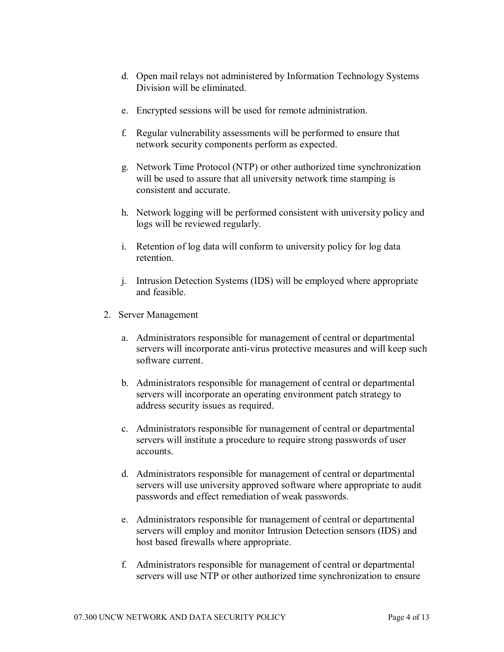- d. Open mail relays not administered by Information Technology Systems Division will be eliminated.
- e. Encrypted sessions will be used for remote administration.
- f. Regular vulnerability assessments will be performed to ensure that network security components perform as expected.
- g. Network Time Protocol (NTP) or other authorized time synchronization will be used to assure that all university network time stamping is consistent and accurate.
- h. Network logging will be performed consistent with university policy and logs will be reviewed regularly.
- i. Retention of log data will conform to university policy for log data retention.
- j. Intrusion Detection Systems (IDS) will be employed where appropriate and feasible.
- 2. Server Management
	- a. Administrators responsible for management of central or departmental servers will incorporate anti-virus protective measures and will keep such software current.
	- b. Administrators responsible for management of central or departmental servers will incorporate an operating environment patch strategy to address security issues as required.
	- c. Administrators responsible for management of central or departmental servers will institute a procedure to require strong passwords of user accounts.
	- d. Administrators responsible for management of central or departmental servers will use university approved software where appropriate to audit passwords and effect remediation of weak passwords.
	- e. Administrators responsible for management of central or departmental servers will employ and monitor Intrusion Detection sensors (IDS) and host based firewalls where appropriate.
	- f. Administrators responsible for management of central or departmental servers will use NTP or other authorized time synchronization to ensure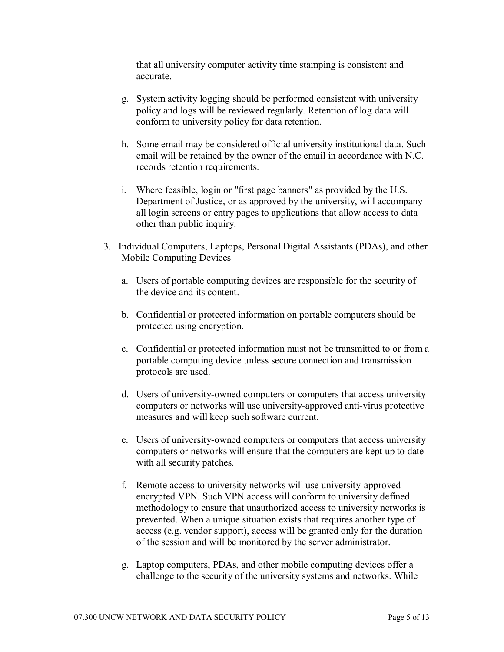that all university computer activity time stamping is consistent and accurate.

- g. System activity logging should be performed consistent with university policy and logs will be reviewed regularly. Retention of log data will conform to university policy for data retention.
- h. Some email may be considered official university institutional data. Such email will be retained by the owner of the email in accordance with N.C. records retention requirements.
- i. Where feasible, login or "first page banners" as provided by the U.S. Department of Justice, or as approved by the university, will accompany all login screens or entry pages to applications that allow access to data other than public inquiry.
- 3. Individual Computers, Laptops, Personal Digital Assistants (PDAs), and other Mobile Computing Devices
	- a. Users of portable computing devices are responsible for the security of the device and its content.
	- b. Confidential or protected information on portable computers should be protected using encryption.
	- c. Confidential or protected information must not be transmitted to or from a portable computing device unless secure connection and transmission protocols are used.
	- d. Users of university-owned computers or computers that access university computers or networks will use university-approved anti-virus protective measures and will keep such software current.
	- e. Users of university-owned computers or computers that access university computers or networks will ensure that the computers are kept up to date with all security patches.
	- f. Remote access to university networks will use university-approved encrypted VPN. Such VPN access will conform to university defined methodology to ensure that unauthorized access to university networks is prevented. When a unique situation exists that requires another type of access (e.g. vendor support), access will be granted only for the duration of the session and will be monitored by the server administrator.
	- g. Laptop computers, PDAs, and other mobile computing devices offer a challenge to the security of the university systems and networks. While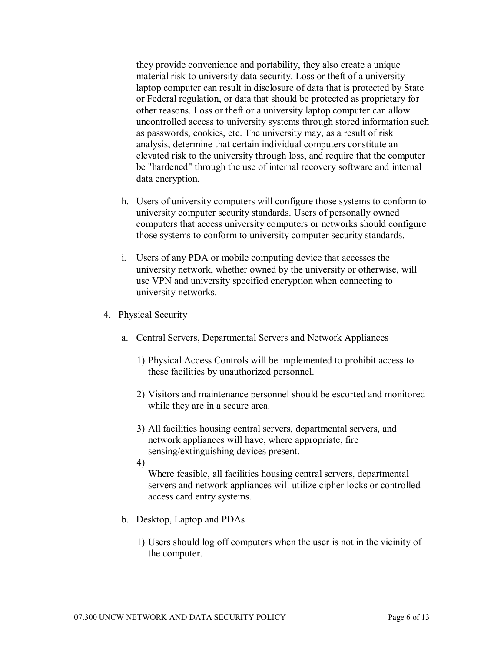they provide convenience and portability, they also create a unique material risk to university data security. Loss or theft of a university laptop computer can result in disclosure of data that is protected by State or Federal regulation, or data that should be protected as proprietary for other reasons. Loss or theft or a university laptop computer can allow uncontrolled access to university systems through stored information such as passwords, cookies, etc. The university may, as a result of risk analysis, determine that certain individual computers constitute an elevated risk to the university through loss, and require that the computer be "hardened" through the use of internal recovery software and internal data encryption.

- h. Users of university computers will configure those systems to conform to university computer security standards. Users of personally owned computers that access university computers or networks should configure those systems to conform to university computer security standards.
- i. Users of any PDA or mobile computing device that accesses the university network, whether owned by the university or otherwise, will use VPN and university specified encryption when connecting to university networks.
- 4. Physical Security
	- a. Central Servers, Departmental Servers and Network Appliances
		- 1) Physical Access Controls will be implemented to prohibit access to these facilities by unauthorized personnel.
		- 2) Visitors and maintenance personnel should be escorted and monitored while they are in a secure area.
		- 3) All facilities housing central servers, departmental servers, and network appliances will have, where appropriate, fire sensing/extinguishing devices present.
		- 4)

Where feasible, all facilities housing central servers, departmental servers and network appliances will utilize cipher locks or controlled access card entry systems.

- b. Desktop, Laptop and PDAs
	- 1) Users should log off computers when the user is not in the vicinity of the computer.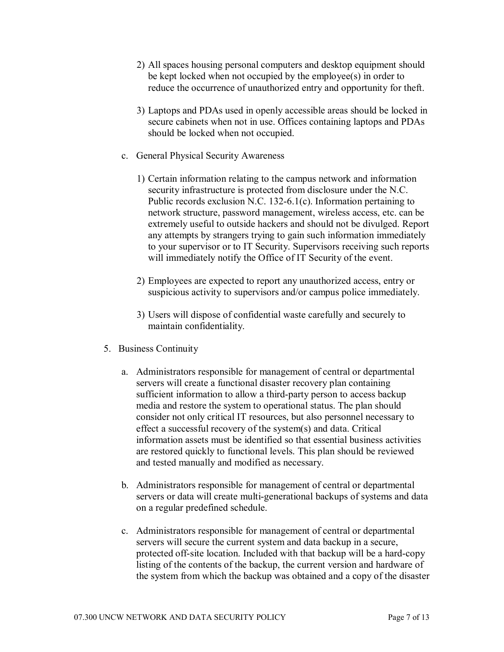- 2) All spaces housing personal computers and desktop equipment should be kept locked when not occupied by the employee(s) in order to reduce the occurrence of unauthorized entry and opportunity for theft.
- 3) Laptops and PDAs used in openly accessible areas should be locked in secure cabinets when not in use. Offices containing laptops and PDAs should be locked when not occupied.
- c. General Physical Security Awareness
	- 1) Certain information relating to the campus network and information security infrastructure is protected from disclosure under the N.C. Public records exclusion N.C. 132-6.1(c). Information pertaining to network structure, password management, wireless access, etc. can be extremely useful to outside hackers and should not be divulged. Report any attempts by strangers trying to gain such information immediately to your supervisor or to IT Security. Supervisors receiving such reports will immediately notify the Office of IT Security of the event.
	- 2) Employees are expected to report any unauthorized access, entry or suspicious activity to supervisors and/or campus police immediately.
	- 3) Users will dispose of confidential waste carefully and securely to maintain confidentiality.
- 5. Business Continuity
	- a. Administrators responsible for management of central or departmental servers will create a functional disaster recovery plan containing sufficient information to allow a third-party person to access backup media and restore the system to operational status. The plan should consider not only critical IT resources, but also personnel necessary to effect a successful recovery of the system(s) and data. Critical information assets must be identified so that essential business activities are restored quickly to functional levels. This plan should be reviewed and tested manually and modified as necessary.
	- b. Administrators responsible for management of central or departmental servers or data will create multi-generational backups of systems and data on a regular predefined schedule.
	- c. Administrators responsible for management of central or departmental servers will secure the current system and data backup in a secure, protected off-site location. Included with that backup will be a hard-copy listing of the contents of the backup, the current version and hardware of the system from which the backup was obtained and a copy of the disaster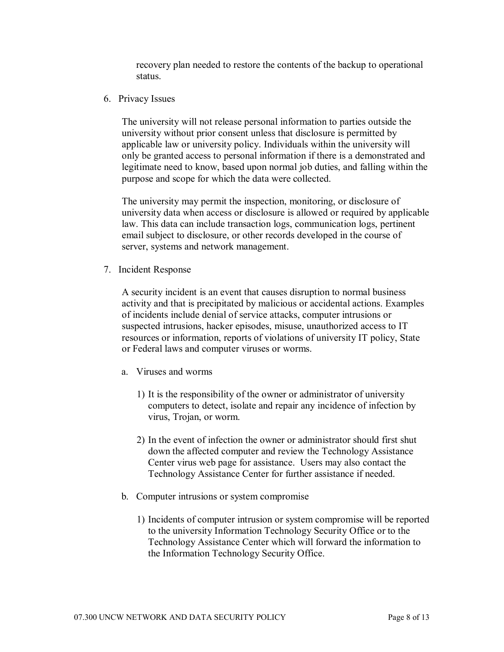recovery plan needed to restore the contents of the backup to operational status.

6. Privacy Issues

The university will not release personal information to parties outside the university without prior consent unless that disclosure is permitted by applicable law or university policy. Individuals within the university will only be granted access to personal information if there is a demonstrated and legitimate need to know, based upon normal job duties, and falling within the purpose and scope for which the data were collected.

The university may permit the inspection, monitoring, or disclosure of university data when access or disclosure is allowed or required by applicable law. This data can include transaction logs, communication logs, pertinent email subject to disclosure, or other records developed in the course of server, systems and network management.

7. Incident Response

A security incident is an event that causes disruption to normal business activity and that is precipitated by malicious or accidental actions. Examples of incidents include denial of service attacks, computer intrusions or suspected intrusions, hacker episodes, misuse, unauthorized access to IT resources or information, reports of violations of university IT policy, State or Federal laws and computer viruses or worms.

- a. Viruses and worms
	- 1) It is the responsibility of the owner or administrator of university computers to detect, isolate and repair any incidence of infection by virus, Trojan, or worm.
	- 2) In the event of infection the owner or administrator should first shut down the affected computer and review the Technology Assistance Center virus web page for assistance. Users may also contact the Technology Assistance Center for further assistance if needed.
- b. Computer intrusions or system compromise
	- 1) Incidents of computer intrusion or system compromise will be reported to the university Information Technology Security Office or to the Technology Assistance Center which will forward the information to the Information Technology Security Office.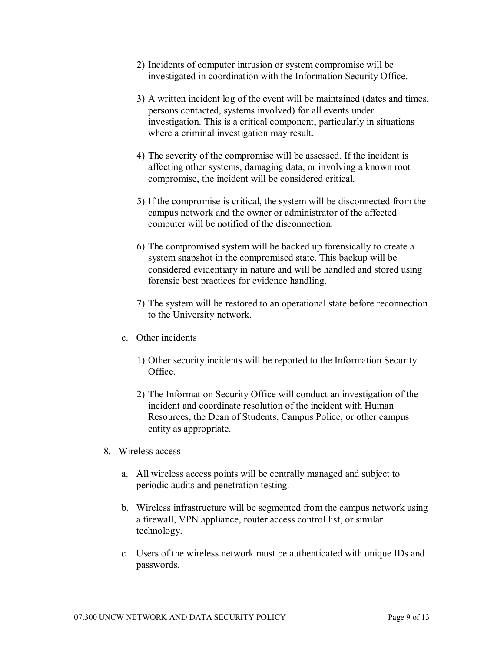- 2) Incidents of computer intrusion or system compromise will be investigated in coordination with the Information Security Office.
- 3) A written incident log of the event will be maintained (dates and times, persons contacted, systems involved) for all events under investigation. This is a critical component, particularly in situations where a criminal investigation may result.
- 4) The severity of the compromise will be assessed. If the incident is affecting other systems, damaging data, or involving a known root compromise, the incident will be considered critical.
- 5) If the compromise is critical, the system will be disconnected from the campus network and the owner or administrator of the affected computer will be notified of the disconnection.
- 6) The compromised system will be backed up forensically to create a system snapshot in the compromised state. This backup will be considered evidentiary in nature and will be handled and stored using forensic best practices for evidence handling.
- 7) The system will be restored to an operational state before reconnection to the University network.
- c. Other incidents
	- 1) Other security incidents will be reported to the Information Security Office.
	- 2) The Information Security Office will conduct an investigation of the incident and coordinate resolution of the incident with Human Resources, the Dean of Students, Campus Police, or other campus entity as appropriate.
- 8. Wireless access
	- a. All wireless access points will be centrally managed and subject to periodic audits and penetration testing.
	- b. Wireless infrastructure will be segmented from the campus network using a firewall, VPN appliance, router access control list, or similar technology.
	- c. Users of the wireless network must be authenticated with unique IDs and passwords.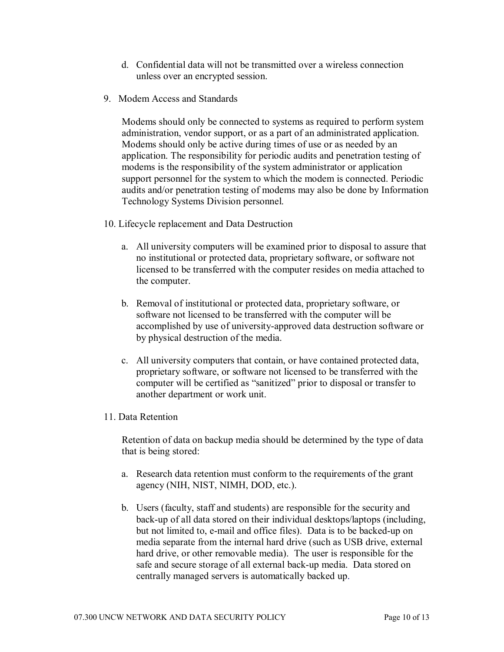- d. Confidential data will not be transmitted over a wireless connection unless over an encrypted session.
- 9. Modem Access and Standards

Modems should only be connected to systems as required to perform system administration, vendor support, or as a part of an administrated application. Modems should only be active during times of use or as needed by an application. The responsibility for periodic audits and penetration testing of modems is the responsibility of the system administrator or application support personnel for the system to which the modem is connected. Periodic audits and/or penetration testing of modems may also be done by Information Technology Systems Division personnel.

- 10. Lifecycle replacement and Data Destruction
	- a. All university computers will be examined prior to disposal to assure that no institutional or protected data, proprietary software, or software not licensed to be transferred with the computer resides on media attached to the computer.
	- b. Removal of institutional or protected data, proprietary software, or software not licensed to be transferred with the computer will be accomplished by use of university-approved data destruction software or by physical destruction of the media.
	- c. All university computers that contain, or have contained protected data, proprietary software, or software not licensed to be transferred with the computer will be certified as "sanitized" prior to disposal or transfer to another department or work unit.
- 11. Data Retention

Retention of data on backup media should be determined by the type of data that is being stored:

- a. Research data retention must conform to the requirements of the grant agency (NIH, NIST, NIMH, DOD, etc.).
- b. Users (faculty, staff and students) are responsible for the security and back-up of all data stored on their individual desktops/laptops (including, but not limited to, e-mail and office files). Data is to be backed-up on media separate from the internal hard drive (such as USB drive, external hard drive, or other removable media). The user is responsible for the safe and secure storage of all external back-up media. Data stored on centrally managed servers is automatically backed up.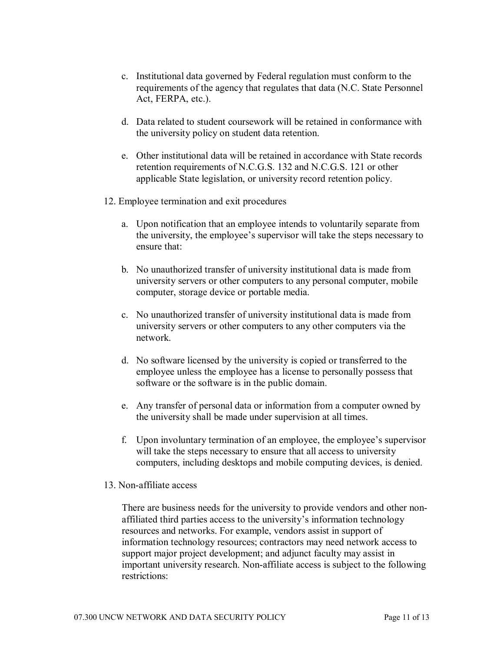- c. Institutional data governed by Federal regulation must conform to the requirements of the agency that regulates that data (N.C. State Personnel Act, FERPA, etc.).
- d. Data related to student coursework will be retained in conformance with the university policy on student data retention.
- e. Other institutional data will be retained in accordance with State records retention requirements of N.C.G.S. 132 and N.C.G.S. 121 or other applicable State legislation, or university record retention policy.
- 12. Employee termination and exit procedures
	- a. Upon notification that an employee intends to voluntarily separate from the university, the employee's supervisor will take the steps necessary to ensure that:
	- b. No unauthorized transfer of university institutional data is made from university servers or other computers to any personal computer, mobile computer, storage device or portable media.
	- c. No unauthorized transfer of university institutional data is made from university servers or other computers to any other computers via the network.
	- d. No software licensed by the university is copied or transferred to the employee unless the employee has a license to personally possess that software or the software is in the public domain.
	- e. Any transfer of personal data or information from a computer owned by the university shall be made under supervision at all times.
	- f. Upon involuntary termination of an employee, the employee's supervisor will take the steps necessary to ensure that all access to university computers, including desktops and mobile computing devices, is denied.
- 13. Non-affiliate access

There are business needs for the university to provide vendors and other non affiliated third parties access to the university's information technology resources and networks. For example, vendors assist in support of information technology resources; contractors may need network access to support major project development; and adjunct faculty may assist in important university research. Non-affiliate access is subject to the following restrictions: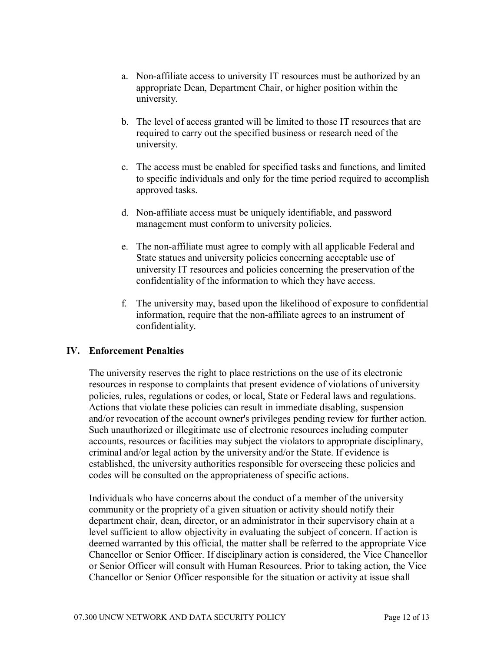- a. Non-affiliate access to university IT resources must be authorized by an appropriate Dean, Department Chair, or higher position within the university.
- b. The level of access granted will be limited to those IT resources that are required to carry out the specified business or research need of the university.
- c. The access must be enabled for specified tasks and functions, and limited to specific individuals and only for the time period required to accomplish approved tasks.
- d. Non-affiliate access must be uniquely identifiable, and password management must conform to university policies.
- e. The non-affiliate must agree to comply with all applicable Federal and State statues and university policies concerning acceptable use of university IT resources and policies concerning the preservation of the confidentiality of the information to which they have access.
- f. The university may, based upon the likelihood of exposure to confidential information, require that the non-affiliate agrees to an instrument of confidentiality.

### **IV. Enforcement Penalties**

The university reserves the right to place restrictions on the use of its electronic resources in response to complaints that present evidence of violations of university policies, rules, regulations or codes, or local, State or Federal laws and regulations. Actions that violate these policies can result in immediate disabling, suspension and/or revocation of the account owner's privileges pending review for further action. Such unauthorized or illegitimate use of electronic resources including computer accounts, resources or facilities may subject the violators to appropriate disciplinary, criminal and/or legal action by the university and/or the State. If evidence is established, the university authorities responsible for overseeing these policies and codes will be consulted on the appropriateness of specific actions.

Individuals who have concerns about the conduct of a member of the university community or the propriety of a given situation or activity should notify their department chair, dean, director, or an administrator in their supervisory chain at a level sufficient to allow objectivity in evaluating the subject of concern. If action is deemed warranted by this official, the matter shall be referred to the appropriate Vice Chancellor or Senior Officer. If disciplinary action is considered, the Vice Chancellor or Senior Officer will consult with Human Resources. Prior to taking action, the Vice Chancellor or Senior Officer responsible for the situation or activity at issue shall